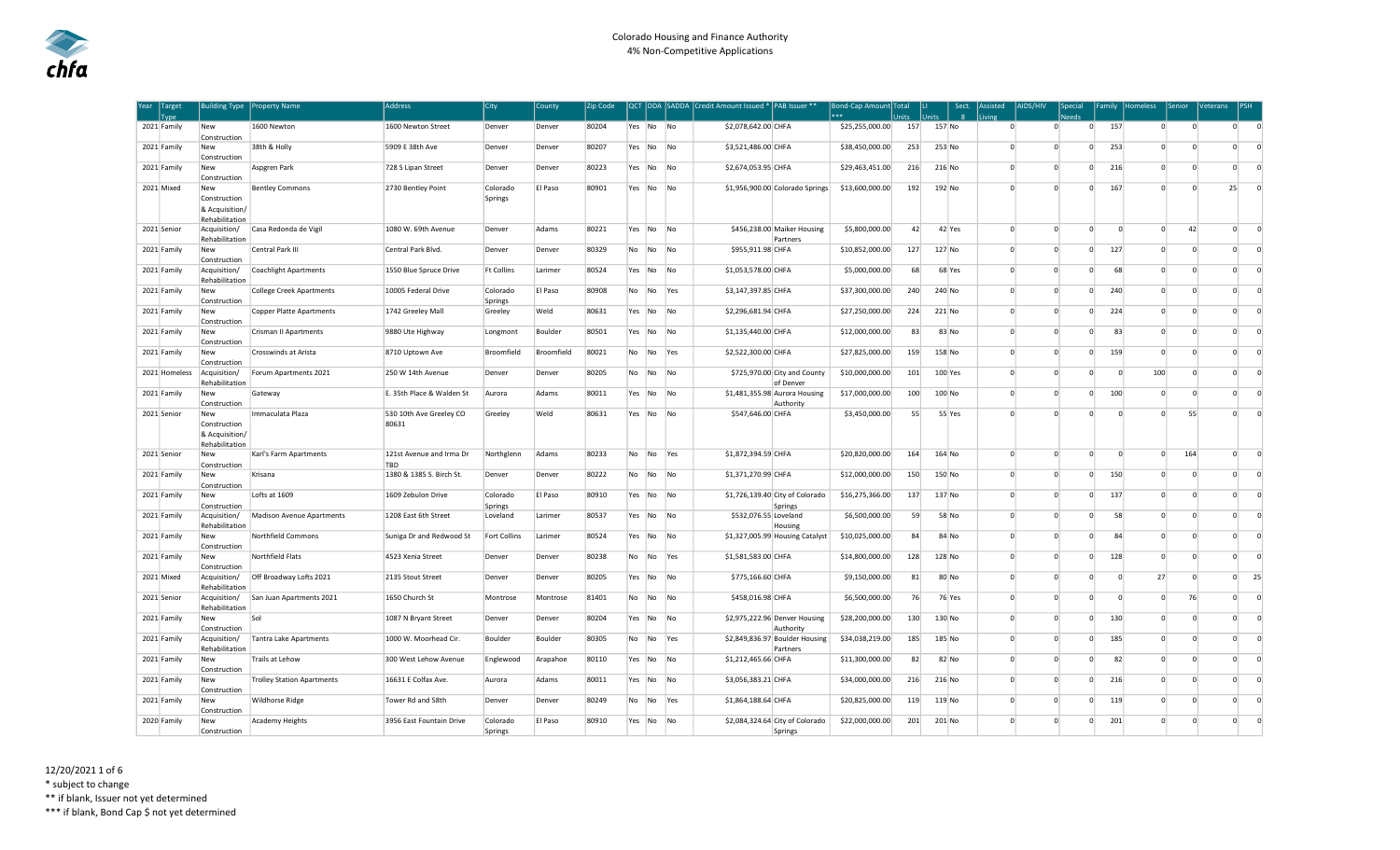| Year Target | Type          | <b>Building Type</b>                                    | <b>Property Name</b>              | <b>Address</b>                   | City                | County            | Zip Code |           |           |                | QCT DDA SADDA Credit Amount Issued * PAB Issuer ** |                                            | Bond-Cap Amount Total<br>*** | Inits | <b>Jnits</b> | Sect.<br>$\mathbf{R}$ | Assisted<br>living | AIDS/HIV       | <b>Special</b> |          | Family Homeless | Senior         | <b>Veterans</b> | IPSH     |
|-------------|---------------|---------------------------------------------------------|-----------------------------------|----------------------------------|---------------------|-------------------|----------|-----------|-----------|----------------|----------------------------------------------------|--------------------------------------------|------------------------------|-------|--------------|-----------------------|--------------------|----------------|----------------|----------|-----------------|----------------|-----------------|----------|
| 2021 Family |               | New<br>Construction                                     | 1600 Newton                       | 1600 Newton Street               | Denver              | Denver            | 80204    | Yes No No |           |                | \$2,078,642.00 CHFA                                |                                            | \$25,255,000.00              | 157   | 157 No       |                       | $\Omega$           | $\overline{0}$ | $\overline{0}$ | 157      | $\Omega$        | $\Omega$       | $\overline{0}$  | $\Omega$ |
| 2021 Family |               | New<br>Construction                                     | 38th & Holly                      | 5909 E 38th Ave                  | Denver              | Denver            | 80207    | Yes       | No        | No             | \$3,521,486.00 CHFA                                |                                            | \$38,450,000.00              | 253   | 253 No       |                       | $\Omega$           | $\Omega$       | $\overline{0}$ | 253      | $\Omega$        | $\Omega$       | $\overline{0}$  | $\Omega$ |
| 2021 Family |               | New<br>Construction                                     | Aspgren Park                      | 728 S Lipan Street               | Denver              | Denver            | 80223    | Yes No    |           | <b>No</b>      | \$2,674,053.95 CHFA                                |                                            | \$29,463,451.00              | 216   | 216 No       |                       | $\Omega$           | $\Omega$       | $\Omega$       | 216      | $\Omega$        | $\Omega$       | $\Omega$        | $\Omega$ |
| 2021 Mixed  |               | New<br>Construction<br>& Acquisition/<br>Rehabilitation | <b>Bentley Commons</b>            | 2730 Bentley Point               | Colorado<br>Springs | El Paso           | 80901    | Yes No    |           | <b>No</b>      |                                                    | \$1,956,900.00 Colorado Springs            | \$13,600,000.00              | 192   | 192 No       |                       | $\Omega$           | $\Omega$       | $\Omega$       | 167      | $\Omega$        | $\Omega$       | 25              | $\Omega$ |
| 2021 Senior |               | Acquisition/<br>Rehabilitation                          | Casa Redonda de Vigil             | 1080 W. 69th Avenue              | Denver              | Adams             | 80221    | Yes       | No        | - No           |                                                    | \$456,238.00 Maiker Housing<br>Partners    | \$5,800,000.00               | 42    | 42 Yes       |                       | $\Omega$           | $\Omega$       | $\Omega$       | $\Omega$ | $\Omega$        | 42             | $\overline{0}$  | $\Omega$ |
| 2021 Family |               | New<br>Construction                                     | Central Park III                  | Central Park Blvd.               | Denver              | Denver            | 80329    | No        | No        | No             | \$955,911.98 CHFA                                  |                                            | \$10,852,000.00              | 127   | 127 No       |                       | $\Omega$           | $\Omega$       | $\circ$        | 127      | $\Omega$        | $\Omega$       | $\Omega$        | $\Omega$ |
| 2021 Family |               | Acquisition/<br>Rehabilitation                          | <b>Coachlight Apartments</b>      | 1550 Blue Spruce Drive           | <b>Ft Collins</b>   | Larimer           | 80524    | Yes No    |           | No             | \$1,053,578.00 CHFA                                |                                            | \$5,000,000.00               | 68    | 68 Yes       |                       | $\Omega$           | $\mathbf{0}$   | $\Omega$       | 68       | $\Omega$        | $\Omega$       | $\mathbf 0$     | $\Omega$ |
| 2021 Family |               | New<br>Construction                                     | <b>College Creek Apartments</b>   | 10005 Federal Drive              | Colorado<br>Springs | El Paso           | 80908    | No        | No        | Yes            | \$3,147,397.85 CHFA                                |                                            | \$37,300,000.00              | 240   | 240 No       |                       | $\Omega$           | $\Omega$       | $\overline{0}$ | 240      | $\mathbf{0}$    | $\overline{0}$ | $\mathbf 0$     | $\Omega$ |
| 2021 Family |               | New<br>Construction                                     | <b>Copper Platte Apartments</b>   | 1742 Greeley Mall                | Greeley             | Weld              | 80631    | Yes No    |           | N <sub>0</sub> | \$2,296,681.94 CHFA                                |                                            | \$27,250,000.00              | 224   | 221 No       |                       | $\Omega$           | $\Omega$       | $\circ$        | 224      | $\Omega$        | $\Omega$       | $\circ$         | $\Omega$ |
| 2021 Family |               | New<br>Construction                                     | <b>Crisman II Apartments</b>      | 9880 Ute Highway                 | Longmont            | Boulder           | 80501    | Yes       | No        | <b>No</b>      | \$1,135,440.00 CHFA                                |                                            | \$12,000,000.00              | 83    | 83 No        |                       | $\Omega$           | $\Omega$       | $\mathbf 0$    | 83       | $\Omega$        | $\overline{0}$ | $\mathbf{0}$    | $\Omega$ |
| 2021 Family |               | New<br>Construction                                     | <b>Crosswinds at Arista</b>       | 8710 Uptown Ave                  | Broomfield          | <b>Broomfield</b> | 80021    | No        | No        | Yes            | \$2,522,300.00 CHFA                                |                                            | \$27,825,000.00              | 159   | 158 No       |                       | $\Omega$           | $\Omega$       | 0              | 159      | $\Omega$        | $\Omega$       | $\circ$         | $\Omega$ |
|             | 2021 Homeless | Acquisition/<br>Rehabilitation                          | Forum Apartments 2021             | 250 W 14th Avenue                | Denver              | Denver            | 80205    | No        | No        | <b>No</b>      |                                                    | \$725,970.00 City and County<br>of Denver  | \$10,000,000.00              | 101   | 100 Yes      |                       | $\Omega$           | $\Omega$       | $\Omega$       | $\Omega$ | 100             | $\Omega$       | $\Omega$        | $\Omega$ |
| 2021 Family |               | <b>New</b><br>Construction                              | Gateway                           | E. 35th Place & Walden St        | Aurora              | Adams             | 80011    | Yes No    |           | No             |                                                    | \$1,481,355.98 Aurora Housing<br>Authority | \$17,000,000.00              | 100   | 100 No       |                       | $\Omega$           | $\Omega$       | $\overline{0}$ | 100      | $\mathbf{0}$    | $\overline{0}$ | $^{\circ}$      | $\Omega$ |
| 2021 Senior |               | New<br>Construction<br>& Acquisition/<br>Rehabilitation | Immaculata Plaza                  | 530 10th Ave Greeley CO<br>80631 | Greeley             | Weld              | 80631    | Yes No    |           | N <sub>0</sub> | \$547,646.00 CHFA                                  |                                            | \$3,450,000.00               | 55    | 55 Yes       |                       | $\Omega$           |                | $\Omega$       | $\Omega$ | $\Omega$        | 55             | $\Omega$        | $\Omega$ |
| 2021 Senior |               | New<br>Construction                                     | Karl's Farm Apartments            | 121st Avenue and Irma Dr<br>TBD  | Northglenn          | Adams             | 80233    | No        | No        | Yes            | \$1,872,394.59 CHFA                                |                                            | \$20,820,000.00              | 164   | 164 No       |                       | $\Omega$           | $\overline{0}$ | $\Omega$       | $\Omega$ | $\Omega$        | 164            | $\overline{0}$  | $\Omega$ |
| 2021 Family |               | New<br>Construction                                     | Krisana                           | 1380 & 1385 S. Birch St.         | Denver              | Denver            | 80222    | No        | No        | No             | \$1,371,270.99 CHFA                                |                                            | \$12,000,000.00              | 150   | 150 No       |                       | $\Omega$           | $\Omega$       | $\overline{0}$ | 150      | $\Omega$        | $\Omega$       | $\Omega$        | $\Omega$ |
| 2021 Family |               | New<br>Construction                                     | Lofts at 1609                     | 1609 Zebulon Drive               | Colorado<br>Springs | El Paso           | 80910    | Yes No    |           | <b>No</b>      |                                                    | \$1,726,139.40 City of Colorado<br>Springs | \$16,275,366.00              | 137   | 137 No       |                       | $\Omega$           | $\Omega$       | $\Omega$       | 137      | $\Omega$        | $\Omega$       | $\Omega$        | $\Omega$ |
| 2021 Family |               | Acquisition/<br>Rehabilitation                          | Madison Avenue Apartments         | 1208 East 6th Street             | Loveland            | Larimer           | 80537    | Yes No    |           | N <sub>0</sub> | \$532,076.55 Loveland                              | Housing                                    | \$6,500,000.00               | 59    | 58 No        |                       | $\Omega$           | $\Omega$       | $\overline{0}$ | 58       | $\Omega$        | $\Omega$       | $\Omega$        | $\Omega$ |
| 2021 Family |               | <b>New</b><br>Construction                              | Northfield Commons                | Suniga Dr and Redwood St         | Fort Collins        | Larimer           | 80524    | Yes       | No        | <b>No</b>      |                                                    | \$1,327,005.99 Housing Catalyst            | \$10,025,000.00              | 84    | 84 No        |                       | $\Omega$           | $\Omega$       | $\overline{0}$ | 84       | $\Omega$        | $\Omega$       | $\Omega$        | $\Omega$ |
| 2021 Family |               | New<br>Construction                                     | Northfield Flats                  | 4523 Xenia Street                | Denver              | Denver            | 80238    | No        | No.       | Yes            | \$1,581,583.00 CHFA                                |                                            | \$14,800,000.00              | 128   | 128 No       |                       | $\Omega$           | $\Omega$       | $\Omega$       | 128      | $\Omega$        | $\Omega$       | $\Omega$        | $\Omega$ |
| 2021 Mixed  |               | Acquisition/<br>Rehabilitation                          | Off Broadway Lofts 2021           | 2135 Stout Street                | Denver              | Denver            | 80205    | Yes       | No        | N <sub>0</sub> | \$775,166.60 CHFA                                  |                                            | \$9,150,000.00               | 81    | 80 No        |                       | $\Omega$           | $\Omega$       | $\circ$        | $\Omega$ | 27              | $\Omega$       | $\circ$         | 25       |
| 2021 Senior |               | Acquisition/<br>Rehabilitation                          | San Juan Apartments 2021          | 1650 Church St                   | Montrose            | Montrose          | 81401    | No        | <b>No</b> | <b>No</b>      | \$458,016.98 CHFA                                  |                                            | \$6,500,000.00               | 76    | 76 Yes       |                       | $\Omega$           | $\Omega$       | $\Omega$       | $\Omega$ | $\Omega$        | 76             | $\Omega$        | $\Omega$ |
| 2021 Family |               | <b>New</b><br>Construction                              | Sol                               | 1087 N Bryant Street             | Denver              | Denver            | 80204    | Yes No    |           | N <sub>0</sub> |                                                    | \$2,975,222.96 Denver Housing<br>Authority | \$28,200,000.00              | 130   | 130 No       |                       | $\Omega$           | $\Omega$       | $\overline{0}$ | 130      | $\Omega$        | $\Omega$       | $\Omega$        | $\Omega$ |
| 2021 Family |               | Acquisition/<br>Rehabilitation                          | <b>Tantra Lake Apartments</b>     | 1000 W. Moorhead Cir.            | Boulder             | Boulder           | 80305    | No        | No        | Yes            |                                                    | \$2,849,836.97 Boulder Housing<br>Partners | \$34,038,219.00              | 185   | 185 No       |                       | $\Omega$           | $\Omega$       | $\Omega$       | 185      | $\Omega$        | $\Omega$       | $\Omega$        | $\Omega$ |
| 2021 Family |               | New<br>Construction                                     | Trails at Lehow                   | 300 West Lehow Avenue            | Englewood           | Arapahoe          | 80110    | Yes No    |           | No             | \$1,212,465.66 CHFA                                |                                            | \$11,300,000.00              | 82    | 82 No        |                       | $\mathbf 0$        | $\circ$        | $\mathbf 0$    | 82       | $\mathbf{0}$    | $\overline{0}$ | $\mathbf 0$     | $\Omega$ |
| 2021 Family |               | New<br>Construction                                     | <b>Trolley Station Apartments</b> | 16631 E Colfax Ave.              | Aurora              | Adams             | 80011    | Yes       | No        | <b>No</b>      | \$3,056,383.21 CHFA                                |                                            | \$34,000,000.00              | 216   | 216 No       |                       | $\overline{0}$     | $\overline{0}$ | $\overline{0}$ | 216      | $\overline{0}$  | $\overline{0}$ | $\overline{0}$  | $\Omega$ |
| 2021 Family |               | New<br>Construction                                     | <b>Wildhorse Ridge</b>            | Tower Rd and 58th                | Denver              | Denver            | 80249    | No        | No        | Yes            | \$1,864,188.64 CHFA                                |                                            | \$20,825,000.00              | 119   | 119 No       |                       | $\Omega$           | $\Omega$       | $\Omega$       | 119      | $\Omega$        | $\Omega$       | $\mathbf 0$     | $\Omega$ |
| 2020 Family |               | New<br>Construction                                     | <b>Academy Heights</b>            | 3956 East Fountain Drive         | Colorado<br>Springs | El Paso           | 80910    | Yes No    |           | <b>No</b>      |                                                    | \$2,084,324.64 City of Colorado<br>Springs | \$22,000,000.00              | 201   | 201 No       |                       | $\overline{0}$     | $\Omega$       | $\circ$        | 201      | $\mathbf{0}$    | $\overline{0}$ | $\circ$         | $\Omega$ |

12/20/2021 1 of 6 \* subject to change

\*\* if blank, Issuer not yet determined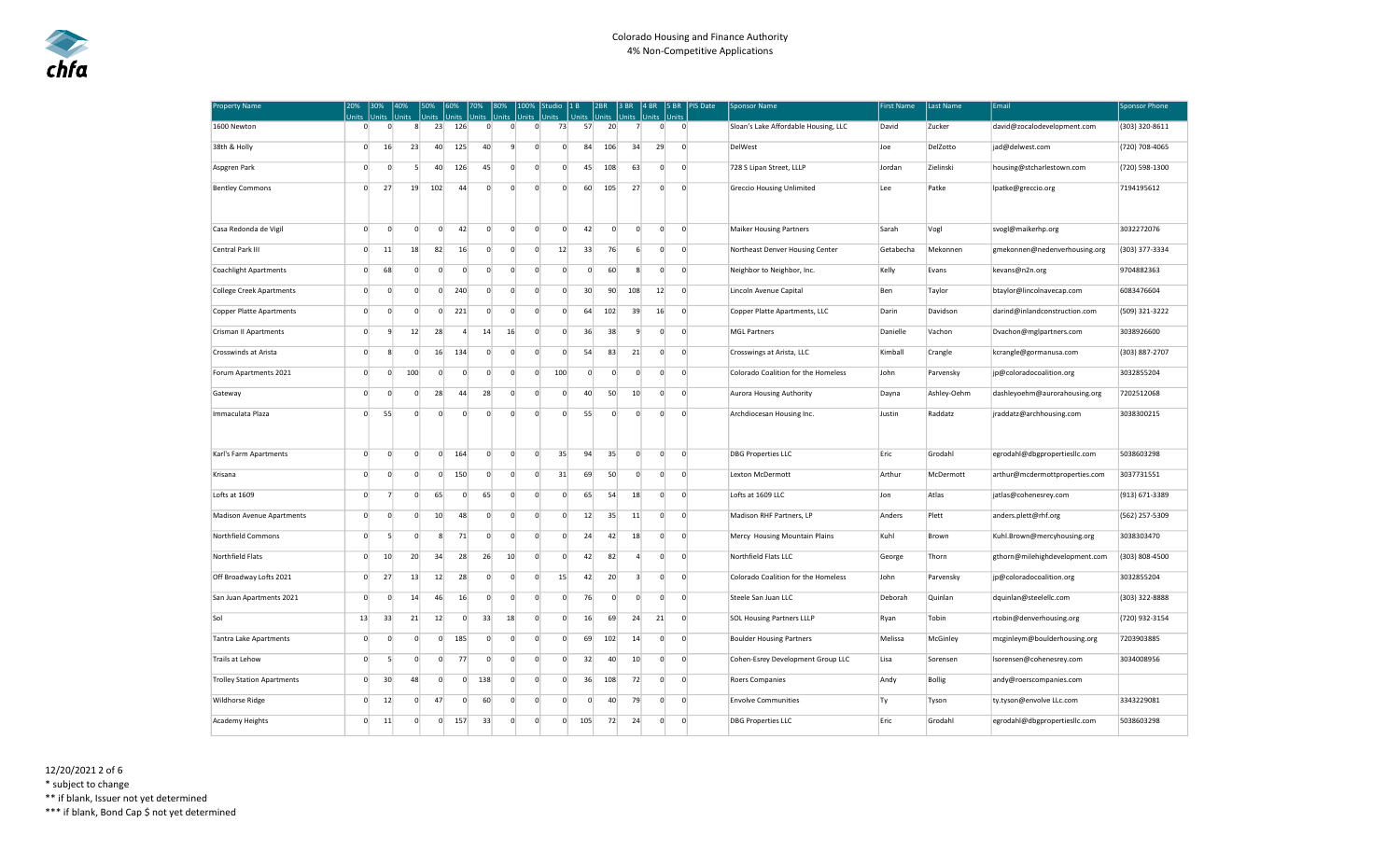| <b>Property Name</b>              | 20%<br>Units | Jnits                      | Units             | Units                | Units                 | 70%<br>Units          | Units          | Jnits          | Studio<br>Jnits |                | 1 B<br><b>Units</b> | 2BR<br>Units   | 3 BR<br>Units           | 4 BR<br>Units | 5 BR<br>Units  |                | <b>PIS Date</b> | <b>Sponsor Name</b>                  | <b>First Name</b> | Last Name   | Email                          | <b>Sponsor Phone</b> |
|-----------------------------------|--------------|----------------------------|-------------------|----------------------|-----------------------|-----------------------|----------------|----------------|-----------------|----------------|---------------------|----------------|-------------------------|---------------|----------------|----------------|-----------------|--------------------------------------|-------------------|-------------|--------------------------------|----------------------|
| 1600 Newton                       |              | $\Omega$                   | $\overline{0}$    | 23<br>8 <sup>1</sup> | 126                   |                       | $\mathbf{0}$   | $\overline{0}$ | $\mathbf{0}$    | 73             | 57                  | 20             | 7                       |               | $\circ$        | $\overline{0}$ |                 | Sloan's Lake Affordable Housing, LLC | David             | Zucker      | david@zocalodevelopment.com    | (303) 320-8611       |
| 38th & Holly                      |              | $\overline{0}$<br>16       | 23                | 40                   | 125                   |                       | 40             | 9              | $\mathbf 0$     | $\circ$        | 84                  | 106            | 34                      |               | 29             | $\mathbf{0}$   |                 | DelWest                              | Joe               | DelZotto    | jad@delwest.com                | (720) 708-4065       |
| Aspgren Park                      |              | $\overline{0}$             | $\overline{0}$    | 5<br>40              | 126                   |                       | 45             | $\overline{0}$ | $\mathbf 0$     | $\circ$        | 45                  | 108            | 63                      |               | $\overline{0}$ | $\overline{0}$ |                 | 728 S Lipan Street, LLLP             | Jordan            | Zielinski   | housing@stcharlestown.com      | (720) 598-1300       |
| <b>Bentley Commons</b>            |              | $\Omega$<br>27             | 19                | 102                  |                       | 44                    | $\overline{0}$ | $\Omega$       | $\Omega$        | $\Omega$       | 60                  | 105            | 27                      |               | $\overline{0}$ | $\overline{0}$ |                 | <b>Greccio Housing Unlimited</b>     | Lee               | Patke       | lpatke@greccio.org             | 7194195612           |
| Casa Redonda de Vigil             |              | $\overline{0}$             | $\overline{0}$    | $\overline{0}$       | $\overline{0}$        | 42                    | $\overline{0}$ | $\overline{0}$ | $\Omega$        | $\overline{0}$ | 42                  | $\overline{0}$ | $\overline{0}$          |               | $\mathbf{0}$   | $\overline{0}$ |                 | <b>Maiker Housing Partners</b>       | Sarah             | Vogl        | svogl@maikerhp.org             | 3032272076           |
| Central Park III                  |              | $\overline{0}$<br>11       | 18                | 82                   |                       | 16                    | $\overline{0}$ | $\Omega$       | $\mathbf 0$     | 12             | 33                  | 76             | 6                       |               | $\overline{0}$ | $\overline{0}$ |                 | Northeast Denver Housing Center      | Getabecha         | Mekonnen    | gmekonnen@nedenverhousing.org  | (303) 377-3334       |
| <b>Coachlight Apartments</b>      |              | 68<br>$\Omega$             |                   | $\Omega$             | $\Omega$              | $\overline{0}$        | $\overline{0}$ | $\Omega$       | $\Omega$        | $\Omega$       | $\overline{0}$      | 60             | 8                       |               | $\overline{0}$ | $\circ$        |                 | Neighbor to Neighbor, Inc.           | Kelly             | Evans       | kevans@n2n.org                 | 9704882363           |
| <b>College Creek Apartments</b>   |              | $\overline{0}$             | $\mathbf 0$       | $\overline{0}$       | $\overline{0}$<br>240 |                       | $\overline{0}$ | $\overline{0}$ | $\mathbf 0$     | $\mathbf{0}$   | 30                  | 90             | 108                     |               | 12             | $\overline{0}$ |                 | Lincoln Avenue Capital               | Ben               | Taylor      | btaylor@lincolnavecap.com      | 6083476604           |
| Copper Platte Apartments          |              | $\circ$                    | $\mathbf 0$       | $\overline{0}$       | $\overline{0}$<br>221 |                       | $\overline{0}$ | $\overline{0}$ | $\circ$         | $\overline{0}$ | 64                  | 102            | 39                      |               | 16             | $\overline{0}$ |                 | Copper Platte Apartments, LLC        | Darin             | Davidson    | darind@inlandconstruction.com  | (509) 321-3222       |
| Crisman II Apartments             |              | $\overline{0}$             | 9<br>12           | 28                   |                       | $\overline{4}$        | 14             | 16             | 0               | $\circ$        | 36                  | 38             | 9                       |               | $\overline{0}$ | $\overline{0}$ |                 | <b>MGL Partners</b>                  | Danielle          | Vachon      | Dvachon@mglpartners.com        | 3038926600           |
| Crosswinds at Arista              |              | $\overline{0}$             | 8                 | $\mathbf{0}$<br>16   | 134                   |                       | $\mathbf{0}$   | $\Omega$       | $\mathbf 0$     | $\circ$        | 54                  | 83             | 21                      |               | $\overline{0}$ | $\overline{0}$ |                 | Crosswings at Arista, LLC            | Kimball           | Crangle     | kcrangle@gormanusa.com         | (303) 887-2707       |
| Forum Apartments 2021             |              | $\Omega$                   | 100<br>$\Omega$   |                      | $\overline{0}$        | $\overline{0}$        | $\overline{0}$ | $\overline{0}$ | $\Omega$        | 100            | $\Omega$            | $\Omega$       | $\circ$                 |               | $\overline{0}$ | $\overline{0}$ |                 | Colorado Coalition for the Homeless  | John              | Parvensky   | jp@coloradocoalition.org       | 3032855204           |
| Gateway                           |              | $\overline{0}$             | $\mathbf 0$       | $\overline{0}$<br>28 |                       | 44                    | 28             | $\overline{0}$ | $\mathbf 0$     | $\circ$        | 40                  | 50             | 10                      |               | $\overline{0}$ | $\overline{0}$ |                 | <b>Aurora Housing Authority</b>      | Dayna             | Ashley-Oehm | dashleyoehm@aurorahousing.org  | 7202512068           |
| Immaculata Plaza                  |              | $\Omega$<br>55             |                   | $\Omega$             | $\overline{0}$        | $\overline{0}$        | $\overline{0}$ | $\Omega$       | $\Omega$        | $\overline{0}$ | 55                  | $\Omega$       | $\circ$                 |               | $\overline{0}$ | $\Omega$       |                 | Archdiocesan Housing Inc.            | Justin            | Raddatz     | iraddatz@archhousing.com       | 3038300215           |
| Karl's Farm Apartments            |              | $\overline{0}$<br>$\Omega$ |                   | $\overline{0}$       | $\circ$<br>164        |                       | $\overline{0}$ | $\overline{0}$ | $\mathbf 0$     | 35             | 94                  | 35             | $\overline{0}$          |               | $\overline{0}$ | $\overline{0}$ |                 | <b>DBG Properties LLC</b>            | Eric              | Grodahl     | egrodahl@dbgpropertiesllc.com  | 5038603298           |
| Krisana                           |              | $\overline{0}$             | $\overline{0}$    | $\overline{0}$       | 150<br>$\overline{0}$ |                       | $\overline{0}$ | $\overline{0}$ | $\mathbf 0$     | 31             | 69                  | 50             | $\overline{0}$          |               | $\overline{0}$ | $\overline{0}$ |                 | Lexton McDermott                     | Arthur            | McDermott   | arthur@mcdermottproperties.com | 3037731551           |
| Lofts at 1609                     |              | $\overline{0}$             | $\overline{7}$    | $\Omega$<br>65       |                       | $\overline{0}$        | 65             | $\overline{0}$ | $\Omega$        | $\overline{0}$ | 65                  | 54             | 18                      |               | $\overline{0}$ | $\circ$        |                 | Lofts at 1609 LLC                    | Jon               | Atlas       | jatlas@cohenesrey.com          | (913) 671-3389       |
| <b>Madison Avenue Apartments</b>  |              | $\overline{0}$             | $\Omega$          | $\overline{0}$<br>10 |                       | 48                    | $\overline{0}$ | $\Omega$       | $\mathbf 0$     | $\Omega$       | 12                  | 35             | 11                      |               | $\overline{0}$ | $\overline{0}$ |                 | Madison RHF Partners, LP             | Anders            | Plett       | anders.plett@rhf.org           | (562) 257-5309       |
| Northfield Commons                |              | $\overline{0}$             | $\overline{5}$    | $\Omega$             | 8                     | 71                    | $\overline{0}$ | $\Omega$       | $\Omega$        | $\overline{0}$ | 24                  | 42             | 18                      |               | $\overline{0}$ | $\overline{0}$ |                 | Mercy Housing Mountain Plains        | Kuhl              | Brown       | Kuhl.Brown@mercyhousing.org    | 3038303470           |
| Northfield Flats                  |              | $\Omega$<br>10             | 20                | 34                   |                       | 28                    | 26             | 10             | $\Omega$        | $\overline{0}$ | 42                  | 82             | $\Delta$                |               | $\overline{0}$ | $\Omega$       |                 | Northfield Flats LLC                 | George            | Thorn       | gthorn@milehighdevelopment.com | (303) 808-4500       |
| Off Broadway Lofts 2021           |              | $\overline{0}$<br>27       | 13                | 12                   |                       | 28                    | $\overline{0}$ | $\overline{0}$ | $\mathbf 0$     | 15             | 42                  | 20             | $\overline{\mathbf{3}}$ |               | $\overline{0}$ | $\circ$        |                 | Colorado Coalition for the Homeless  | John              | Parvensky   | jp@coloradocoalition.org       | 3032855204           |
| San Juan Apartments 2021          |              | $\overline{0}$             | $\mathbf 0$<br>14 | 46                   |                       | 16                    | $\overline{0}$ | $\overline{0}$ | $\mathbf 0$     | $\circ$        | 76                  | $\mathbf{0}$   | $\mathbf 0$             |               | $\overline{0}$ | $\mathbf{0}$   |                 | Steele San Juan LLC                  | Deborah           | Quinlan     | dquinlan@steelellc.com         | (303) 322-8888       |
| Sol                               | 13           | 33                         | 21                | 12                   |                       | $\mathbf{0}$          | 33             | 18             | $\overline{0}$  | $\circ$        | 16                  | 69             | 24                      |               | 21             | $\overline{0}$ |                 | <b>SOL Housing Partners LLLP</b>     | Ryan              | Tobin       | rtobin@denverhousing.org       | (720) 932-3154       |
| <b>Tantra Lake Apartments</b>     |              | $\overline{0}$             | $\Omega$          | $\Omega$             | $\overline{0}$<br>185 |                       | $\overline{0}$ | $\overline{0}$ | $\Omega$        | $\overline{0}$ | 69                  | 102            | 14                      |               | $\overline{0}$ | $\overline{0}$ |                 | <b>Boulder Housing Partners</b>      | Melissa           | McGinley    | mcginleym@boulderhousing.org   | 7203903885           |
| <b>Trails at Lehow</b>            |              | $\overline{0}$             | 5                 | $\overline{0}$       | $\overline{0}$        | 77                    | $\mathbf{0}$   | $\overline{0}$ | $\mathbf 0$     | $\circ$        | 32                  | 40             | 10                      |               | $\overline{0}$ | $\overline{0}$ |                 | Cohen-Esrey Development Group LLC    | Lisa              | Sorensen    | Isorensen@cohenesrey.com       | 3034008956           |
| <b>Trolley Station Apartments</b> |              | $\overline{0}$<br>30       | 48                |                      | $\mathbf{0}$          | 138<br>$\overline{0}$ |                | $\overline{0}$ | $\overline{0}$  | $\circ$        | 36                  | 108            | 72                      |               | $\overline{0}$ | $\overline{0}$ |                 | Roers Companies                      | Andy              | Bollig      | andy@roerscompanies.com        |                      |
| Wildhorse Ridge                   |              | $\Omega$<br>12             |                   | $\Omega$<br>47       |                       | $\Omega$              | 60             | $\Omega$       | $\Omega$        | $\Omega$       | $\Omega$            | 40             | 79                      |               | $\Omega$       | $\overline{0}$ |                 | <b>Envolve Communities</b>           | Ty                | Tyson       | ty.tyson@envolve LLc.com       | 3343229081           |
| <b>Academy Heights</b>            |              | $\overline{0}$<br>11       |                   | $\overline{0}$       | 157<br>$\Omega$       |                       | 33             | $\Omega$       | $\mathbf 0$     | $\Omega$       | 105                 | 72             | 24                      |               | $\overline{0}$ | $\mathbf{0}$   |                 | <b>DBG Properties LLC</b>            | Eric              | Grodahl     | egrodahl@dbgpropertiesllc.com  | 5038603298           |

12/20/2021 2 of 6 \* subject to change

\*\* if blank, Issuer not yet determined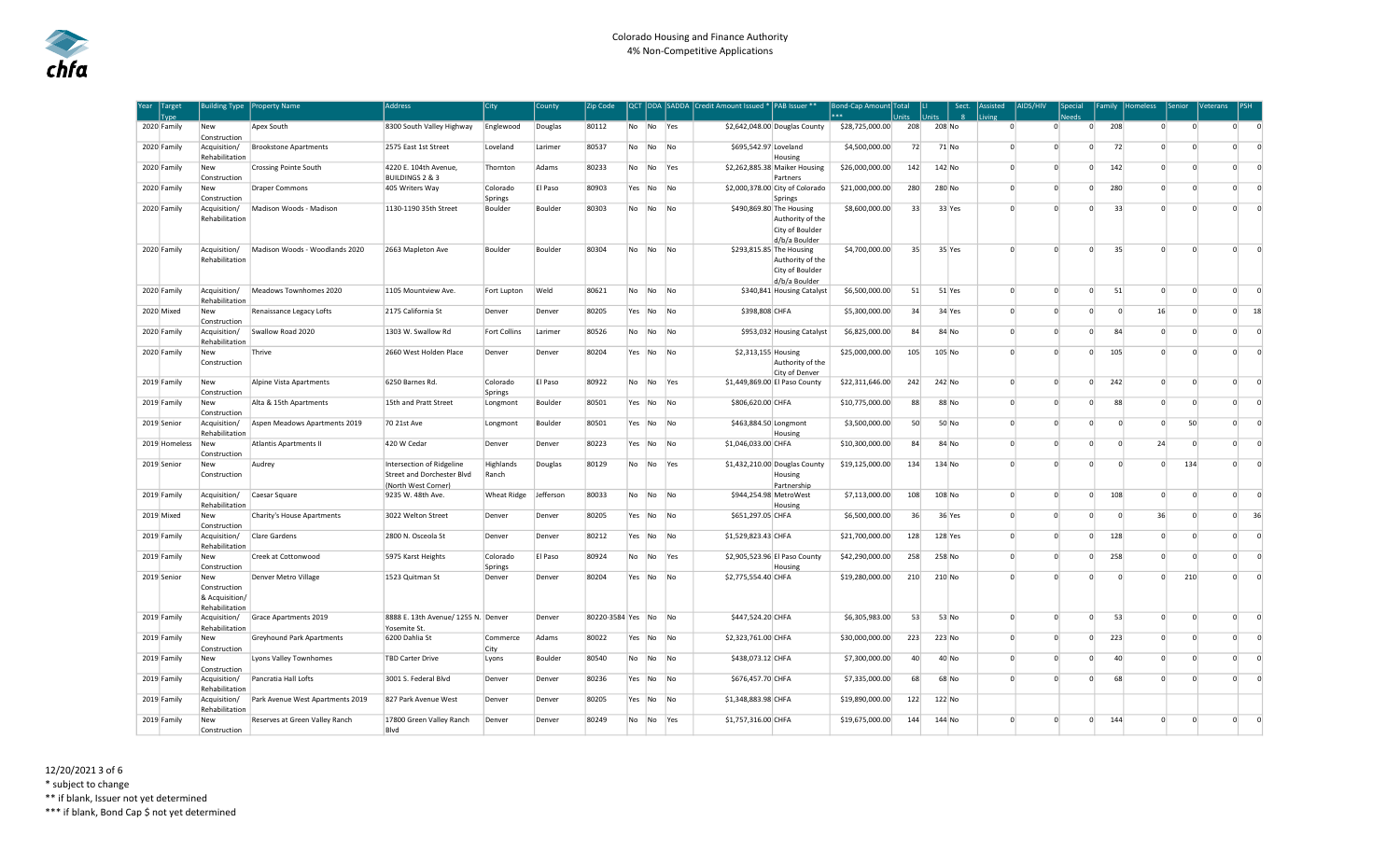| Year Target<br>Tvpe | Building Type                                           | <b>Property Name</b>             | <b>Address</b>                                                                 | <b>City</b>         | County    | Zip Code       |        |                          |                | QCT DDA SADDA Credit Amount Issued * PAB Issuer **                               | Bond-Cap Amount Total<br>k sk sk | Jnits | Sect.<br><b>Units</b><br>$\mathbf{R}$ | Assisted<br>Living | AIDS/HIV       | Special<br>haal |          | Family Homeless | Senior                 | Veterans       | IPSH     |
|---------------------|---------------------------------------------------------|----------------------------------|--------------------------------------------------------------------------------|---------------------|-----------|----------------|--------|--------------------------|----------------|----------------------------------------------------------------------------------|----------------------------------|-------|---------------------------------------|--------------------|----------------|-----------------|----------|-----------------|------------------------|----------------|----------|
| 2020 Family         | <b>New</b><br>Construction                              | Apex South                       | 8300 South Valley Highway                                                      | Englewood           | Douglas   | 80112          | No No  |                          | Yes            | \$2,642,048.00 Douglas County                                                    | \$28,725,000.00                  | 208   | 208 No                                | $\Omega$           | $\Omega$       | $\Omega$        | 208      | $\Omega$        | $\Omega$               | $\circ$        | $\Omega$ |
| 2020 Family         | Acquisition/<br>Rehabilitation                          | <b>Brookstone Apartments</b>     | 2575 East 1st Street                                                           | Loveland            | Larimer   | 80537          | No     | No                       | No             | \$695,542.97 Loveland<br>Housing                                                 | \$4,500,000.00                   | 72    | 71 No                                 | $\Omega$           | $\Omega$       | $\Omega$        | 72       | $\mathbf{0}$    | $\Omega$               | $\overline{0}$ | $\Omega$ |
| 2020 Family         | New<br>Construction                                     | <b>Crossing Pointe South</b>     | 4220 E. 104th Avenue,<br>BUILDINGS 2 & 3                                       | Thornton            | Adams     | 80233          | No.    | No                       | Yes            | \$2,262,885.38 Maiker Housing<br>Partners                                        | \$26,000,000.00                  | 142   | 142 No                                | $\Omega$           | $\Omega$       | $\Omega$        | 142      | $\Omega$        | $\Omega$               | $\Omega$       | $\Omega$ |
| 2020 Family         | New<br>Construction                                     | <b>Draper Commons</b>            | 405 Writers Way                                                                | Colorado<br>Springs | El Paso   | 80903          | Yes No |                          | No             | \$2,000,378.00 City of Colorado<br>Springs                                       | \$21,000,000.00                  | 280   | 280 No                                | $\Omega$           | $\Omega$       | $\Omega$        | 280      | $\Omega$        | $\Omega$               | $\Omega$       | $\Omega$ |
| 2020 Family         | Acquisition/<br>Rehabilitation                          | Madison Woods - Madison          | 1130-1190 35th Street                                                          | Boulder             | Boulder   | 80303          | No     | No                       | <b>No</b>      | \$490,869.80 The Housing<br>Authority of the<br>City of Boulder<br>d/b/a Boulder | \$8,600,000.00                   | 33    | 33 Yes                                | $\Omega$           | $\Omega$       | $\Omega$        | 33       | $\Omega$        | $\Omega$               | $\Omega$       | $\Omega$ |
| 2020 Family         | Acquisition/<br>Rehabilitation                          | Madison Woods - Woodlands 2020   | 2663 Mapleton Ave                                                              | Boulder             | Boulder   | 80304          | No     | No                       | No             | \$293,815.85 The Housing<br>Authority of the<br>City of Boulder<br>d/b/a Boulder | \$4,700,000.00                   | 35    | 35 Yes                                | $\Omega$           | $\Omega$       | $\overline{0}$  | 35       | $\overline{0}$  | $\Omega$               | $\overline{0}$ | $\Omega$ |
| 2020 Family         | Acquisition/<br>Rehabilitation                          | Meadows Townhomes 2020           | 1105 Mountview Ave.                                                            | Fort Lupton         | Weld      | 80621          | No     | No                       | No             | \$340,841 Housing Catalyst                                                       | \$6,500,000.00                   | 51    | 51 Yes                                | $\Omega$           | $\overline{0}$ | $\mathbf{0}$    | 51       | $\overline{0}$  | $\overline{0}$         | $\overline{0}$ | $\circ$  |
| 2020 Mixed          | New<br>Construction                                     | Renaissance Legacy Lofts         | 2175 California St                                                             | Denver              | Denver    | 80205          | Yes No |                          | N <sub>0</sub> | \$398,808 CHFA                                                                   | \$5,300,000.00                   | 34    | 34 Yes                                | $\Omega$           | $\Omega$       | $\Omega$        | $\Omega$ | 16              | $\Omega$               | $\circ$        | 18       |
| 2020 Family         | Acquisition/<br>Rehabilitation                          | Swallow Road 2020                | 1303 W. Swallow Rd                                                             | <b>Fort Collins</b> | Larimer   | 80526          | No     | No                       | No             | \$953,032 Housing Catalyst                                                       | \$6,825,000.00                   | 84    | 84 No                                 | $\Omega$           | $\Omega$       | $\Omega$        | 84       | $\Omega$        | $\overline{0}$         | $\mathbf 0$    | $\Omega$ |
| 2020 Family         | New<br>Construction                                     | Thrive                           | 2660 West Holden Place                                                         | Denver              | Denver    | 80204          | Yes    | No                       | <b>No</b>      | \$2,313,155 Housing<br>Authority of the<br>City of Denver                        | \$25,000,000.00                  | 105   | 105 No                                | $\Omega$           | $\Omega$       | $\overline{0}$  | 105      | $\mathbf{0}$    | $\overline{0}$         | $\circ$        | $\Omega$ |
| 2019 Family         | New<br>Construction                                     | Alpine Vista Apartments          | 6250 Barnes Rd.                                                                | Colorado<br>Springs | El Paso   | 80922          | No     | No                       | Yes            | \$1,449,869.00 El Paso County                                                    | \$22,311,646.00                  | 242   | 242 No                                | $\Omega$           | $\Omega$       | $\Omega$        | 242      | $\Omega$        | $\Omega$               | $\overline{0}$ | $\Omega$ |
| 2019 Family         | New<br>Construction                                     | Alta & 15th Apartments           | 15th and Pratt Street                                                          | Longmont            | Boulder   | 80501          | Yes    | No                       | No             | \$806,620.00 CHFA                                                                | \$10,775,000.00                  | 88    | 88 No                                 | $\Omega$           | $\Omega$       | $\overline{0}$  | 88       | $\Omega$        | $\overline{0}$         | $\circ$        | $\Omega$ |
| 2019 Senior         | Acquisition/<br>Rehabilitation                          | Aspen Meadows Apartments 2019    | 70 21st Ave                                                                    | Longmont            | Boulder   | 80501          | Yes No |                          | <b>No</b>      | \$463,884.50 Longmont<br>Housing                                                 | \$3,500,000.00                   | 50    | 50 No                                 | $\Omega$           | $\Omega$       | $\Omega$        | $\Omega$ | $\Omega$        | 50                     | $\Omega$       | $\Omega$ |
| 2019 Homeless       | New<br>Construction                                     | Atlantis Apartments II           | 420 W Cedar                                                                    | Denver              | Denver    | 80223          | Yes No |                          | No             | \$1,046,033.00 CHFA                                                              | \$10,300,000.00                  | 84    | 84 No                                 | $\Omega$           | $\Omega$       | $\mathbf 0$     | $\Omega$ | 24              | $\mathbf{0}^{\dagger}$ | $\mathbf{0}$   | $\Omega$ |
| 2019 Senior         | New<br>Construction                                     | Audrey                           | Intersection of Ridgeline<br>Street and Dorchester Blvd<br>(North West Corner) | Highlands<br>Ranch  | Douglas   | 80129          | No     | No                       | Yes            | \$1,432,210.00 Douglas County<br>Housing<br>Partnership                          | \$19,125,000.00                  | 134   | 134 No                                | $\Omega$           | $\Omega$       | $\Omega$        | $\Omega$ | $\Omega$        | 134                    | $\overline{0}$ | $\Omega$ |
| 2019 Family         | Acquisition/<br>Rehabilitation                          | Caesar Square                    | 9235 W. 48th Ave.                                                              | Wheat Ridge         | Jefferson | 80033          | No     | No                       | No             | \$944,254.98 MetroWest<br>Housing                                                | \$7,113,000.00                   | 108   | 108 No                                | $\Omega$           | $\Omega$       | $\Omega$        | 108      | $\Omega$        | $\Omega$               | $\circ$        | $\Omega$ |
| 2019 Mixed          | <b>New</b><br>Construction                              | Charity's House Apartments       | 3022 Welton Street                                                             | Denver              | Denver    | 80205          | Yes No |                          | No.            | \$651,297.05 CHFA                                                                | \$6,500,000.00                   | 36    | 36 Yes                                | $\Omega$           | $\Omega$       | $\Omega$        | $\Omega$ | 36              | $\Omega$               | $\circ$        | 36       |
| 2019 Family         | Acquisition/<br>Rehabilitation                          | Clare Gardens                    | 2800 N. Osceola St                                                             | Denver              | Denver    | 80212          | Yes    | No                       | No             | \$1,529,823.43 CHFA                                                              | \$21,700,000.00                  | 128   | 128 Yes                               | $\Omega$           | $\Omega$       | $\Omega$        | 128      | $\Omega$        | 0 <sup>1</sup>         | $\overline{0}$ | $\Omega$ |
| 2019 Family         | New<br>Construction                                     | Creek at Cottonwood              | 5975 Karst Heights                                                             | Colorado<br>Springs | El Paso   | 80924          | No     | No                       | <b>Yes</b>     | \$2,905,523.96 El Paso County<br>Housing                                         | \$42,290,000.00                  | 258   | 258 No                                | $\Omega$           | $\Omega$       | $\Omega$        | 258      | $\Omega$        | $\Omega$               | $\circ$        | $\Omega$ |
| 2019 Senior         | New<br>Construction<br>& Acquisition/<br>Rehabilitation | Denver Metro Village             | 1523 Quitman St                                                                | Denver              | Denver    | 80204          | Yes    | No                       | <b>No</b>      | \$2,775,554.40 CHFA                                                              | \$19,280,000.00                  | 210   | 210 No                                | $\Omega$           |                | $\Omega$        | $\Omega$ | $\Omega$        | 210                    | $\Omega$       | $\Omega$ |
| 2019 Family         | Acquisition/<br>Rehabilitation                          | Grace Apartments 2019            | 8888 E. 13th Avenue/ 1255 N. Denver<br>Yosemite St.                            |                     | Denver    | 80220-3584 Yes |        | No                       | <b>No</b>      | \$447,524.20 CHFA                                                                | \$6,305,983.00                   | 53    | 53 No                                 | $\Omega$           | $\Omega$       | $\Omega$        | 53       | $\Omega$        | $\overline{0}$         | $\overline{0}$ | $\Omega$ |
| 2019 Family         | New<br>Construction                                     | Greyhound Park Apartments        | 6200 Dahlia St                                                                 | Commerce<br>City    | Adams     | 80022          | Yes    | No                       | No             | \$2,323,761.00 CHFA                                                              | \$30,000,000.00                  | 223   | 223 No                                | $\Omega$           | $\Omega$       | $\Omega$        | 223      | $\Omega$        | 0 <sup>1</sup>         | $^{\circ}$     | $\Omega$ |
| 2019 Family         | New<br>Construction                                     | Lyons Valley Townhomes           | <b>TBD Carter Drive</b>                                                        | Lyons               | Boulder   | 80540          | No     | $\overline{\mathsf{No}}$ | No             | \$438,073.12 CHFA                                                                | \$7,300,000.00                   | 40    | 40 No                                 | $\Omega$           | $\Omega$       | $\Omega$        | 40       | $\Omega$        | $\Omega$               | $\Omega$       | $\Omega$ |
| 2019 Family         | Acquisition/<br>Rehabilitation                          | Pancratia Hall Lofts             | 3001 S. Federal Blvd                                                           | Denver              | Denver    | 80236          | Yes    | No                       | No             | \$676,457.70 CHFA                                                                | \$7,335,000.00                   | 68    | 68 No                                 | $\Omega$           | $\Omega$       | $\Omega$        | 68       | $\Omega$        | $\Omega$               | $\Omega$       | $\Omega$ |
| 2019 Family         | Acquisition/<br>Rehabilitation                          | Park Avenue West Apartments 2019 | 827 Park Avenue West                                                           | Denver              | Denver    | 80205          | Yes No |                          | No             | \$1,348,883.98 CHFA                                                              | \$19,890,000.00                  | 122   | 122 No                                |                    |                |                 |          |                 |                        |                |          |
| 2019 Family         | New<br>Construction                                     | Reserves at Green Valley Ranch   | 17800 Green Valley Ranch<br>Blvd                                               | Denver              | Denver    | 80249          | No     | No                       | Yes            | \$1,757,316.00 CHFA                                                              | \$19,675,000.00                  | 144   | 144 No                                | $\Omega$           | $\Omega$       | $\overline{0}$  | 144      | $\Omega$        | $\overline{0}$         | $\overline{0}$ | $\Omega$ |

\* subject to change

\*\* if blank, Issuer not yet determined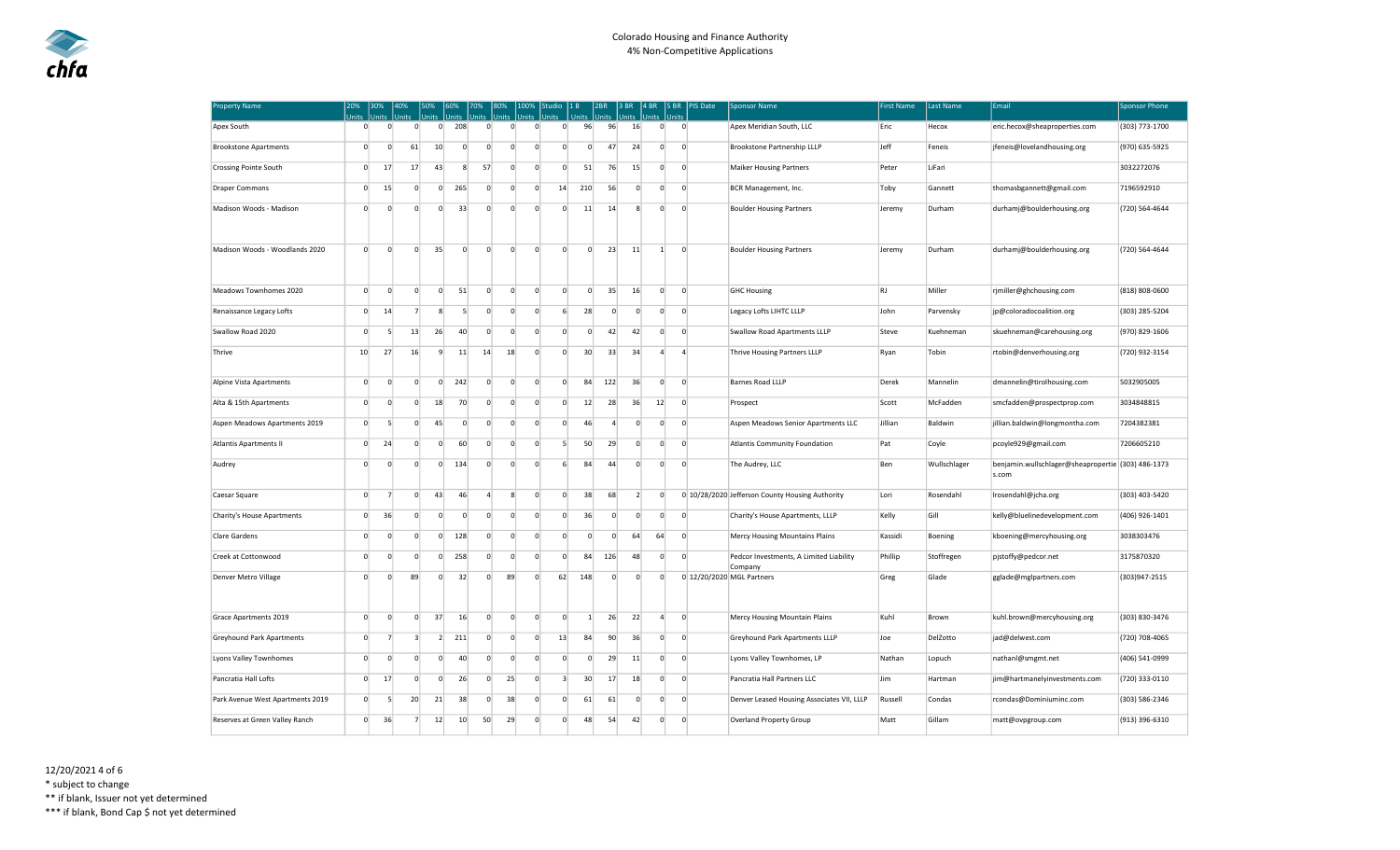| <b>Property Name</b>             | 20%<br>Units | 30%<br>Inits         | 40%<br>Units         | 50%<br>Units   | 60%                      | Units          | 70%<br><b>Units</b> | 80%<br><b>Units</b> | 100%<br>Units  | Studio   1 B<br><b>Units</b> | Units          | 2BR<br><b>Units</b> | 13 BR<br>Units | 4 BR<br>Units | $ 5$ BR<br>Units |                | PIS Date | <b>Sponsor Name</b>                                | <b>First Name</b> | Last Name    | Email                                                       | <b>Sponsor Phone</b> |
|----------------------------------|--------------|----------------------|----------------------|----------------|--------------------------|----------------|---------------------|---------------------|----------------|------------------------------|----------------|---------------------|----------------|---------------|------------------|----------------|----------|----------------------------------------------------|-------------------|--------------|-------------------------------------------------------------|----------------------|
| Apex South                       |              | $\Omega$             | $\overline{0}$       | $\overline{0}$ | $\overline{0}$           | 208            | $\overline{0}$      | $\overline{0}$      | $\overline{0}$ | $\overline{0}$               | 96             | 96                  | 16             |               | $\overline{0}$   | $\overline{0}$ |          | Apex Meridian South, LLC                           | Eric              | Hecox        | eric.hecox@sheaproperties.com                               | (303) 773-1700       |
| <b>Brookstone Apartments</b>     |              | $\overline{0}$       | $\overline{0}$<br>61 |                | 10                       | $\mathbf{0}$   | $\circ$             | $\overline{0}$      | $\overline{0}$ | $\mathbf{0}$                 | $\overline{0}$ | 47                  | 24             |               | $\overline{0}$   | $\overline{0}$ |          | Brookstone Partnership LLLP                        | Jeff              | Feneis       | jfeneis@lovelandhousing.org                                 | (970) 635-5925       |
| <b>Crossing Pointe South</b>     |              | $\overline{0}$<br>17 | 17                   |                | 43                       | 8              | 57                  | $\overline{0}$      | $\Omega$       | $\Omega$                     | 51             | 76                  | 15             |               | $\Omega$         | $\overline{0}$ |          | <b>Maiker Housing Partners</b>                     | Peter             | LiFari       |                                                             | 3032272076           |
| <b>Draper Commons</b>            |              | 15<br>$\Omega$       |                      | $\Omega$       | $\overline{0}$           | 265            | $\Omega$            | $\Omega$            | $\Omega$       | 14                           | 210            | 56                  | $\Omega$       |               | $\Omega$         | $\Omega$       |          | BCR Management, Inc.                               | Toby              | Gannett      | thomasbgannett@gmail.com                                    | 7196592910           |
| Madison Woods - Madison          |              | $\overline{0}$       | $\overline{0}$       | $\overline{0}$ | $\overline{0}$           | 33             | $\overline{0}$      | $\Omega$            | $\overline{0}$ | $\circ$                      | 11             | 14                  | 8              |               | $\overline{0}$   | $\mathbf{0}$   |          | <b>Boulder Housing Partners</b>                    | Jeremy            | Durham       | durhamj@boulderhousing.org                                  | (720) 564-4644       |
| Madison Woods - Woodlands 2020   |              | $\overline{0}$       | $\overline{0}$       | $\overline{0}$ | 35                       | $\overline{0}$ | $\overline{0}$      | $\overline{0}$      | $\overline{0}$ | $\overline{0}$               | $\overline{0}$ | 23                  | 11             |               | 1                | $\overline{0}$ |          | <b>Boulder Housing Partners</b>                    | Jeremy            | Durham       | durhamj@boulderhousing.org                                  | (720) 564-4644       |
| Meadows Townhomes 2020           |              | $\overline{0}$       | $\overline{0}$       | $\overline{0}$ | $\circ$                  | 51             | $\overline{0}$      | $\overline{0}$      | $\overline{0}$ | $\overline{0}$               | $\overline{0}$ | 35                  | 16             |               | $\overline{0}$   | $\overline{0}$ |          | <b>GHC Housing</b>                                 | <b>RJ</b>         | Miller       | rjmiller@ghchousing.com                                     | (818) 808-0600       |
| Renaissance Legacy Lofts         |              | $\overline{0}$<br>14 |                      | $\overline{7}$ | 8                        | 5 <sup>1</sup> | $\overline{0}$      | $\overline{0}$      | $\overline{0}$ | 6                            | 28             | $\overline{0}$      | $\overline{0}$ |               | $\overline{0}$   | $\overline{0}$ |          | Legacy Lofts LIHTC LLLP                            | John              | Parvensky    | jp@coloradocoalition.org                                    | (303) 285-5204       |
| Swallow Road 2020                |              | $\mathbf{0}$         | 5                    | 13             | 26                       | 40             | $\mathbf{0}$        | $\mathbf{0}$        | $\overline{0}$ | 0                            | $\mathbf 0$    | 42                  | 42             |               | $\overline{0}$   | $\overline{0}$ |          | Swallow Road Apartments LLLP                       | Steve             | Kuehneman    | skuehneman@carehousing.org                                  | (970) 829-1606       |
| Thrive                           | 10           | 27                   | 16                   |                | 9                        | 11             | 14                  | 18                  | $\Omega$       | $\Omega$                     | 30             | 33                  | 34             |               | $\Delta$         | $\overline{a}$ |          | Thrive Housing Partners LLLP                       | Ryan              | Tobin        | rtobin@denverhousing.org                                    | (720) 932-3154       |
| Alpine Vista Apartments          |              | $\overline{0}$       | $\overline{0}$       | $\overline{0}$ | $\overline{0}$           | 242            | $\overline{0}$      | $\mathbf{0}$        | $\circ$        | $\overline{0}$               | 84             | 122                 | 36             |               | $\overline{0}$   | $\mathbf{0}$   |          | Barnes Road LLLP                                   | Derek             | Mannelin     | dmannelin@tirolhousing.com                                  | 5032905005           |
| Alta & 15th Apartments           |              | $\overline{0}$       | $\overline{0}$       | $\overline{0}$ | 18                       | 70             | 0                   | $\mathbf{0}$        | $\overline{0}$ | $\overline{0}$               | 12             | 28                  | 36             | 12            |                  | $\mathbf{0}$   |          | Prospect                                           | Scott             | McFadden     | smcfadden@prospectprop.com                                  | 3034848815           |
| Aspen Meadows Apartments 2019    |              | $\overline{0}$       | $5\overline{)}$      | $\overline{0}$ | 45                       | $\overline{0}$ | $\overline{0}$      | $\overline{0}$      | $\overline{0}$ | $\overline{0}$               | 46             | $\overline{4}$      | $\overline{0}$ |               | $\circ$          | $\overline{0}$ |          | Aspen Meadows Senior Apartments LLC                | Jillian           | Baldwin      | jillian.baldwin@longmontha.com                              | 7204382381           |
| <b>Atlantis Apartments II</b>    |              | $\overline{0}$<br>24 |                      | $\Omega$       | $\overline{0}$           | 60             | $\overline{0}$      | $\overline{0}$      | $\overline{0}$ | 5 <sup>1</sup>               | 50             | 29                  | $\overline{0}$ |               | $\Omega$         | $\overline{0}$ |          | Atlantis Community Foundation                      | Pat               | Coyle        | pcoyle929@gmail.com                                         | 7206605210           |
| Audrey                           |              | $\overline{0}$       | $\overline{0}$       | $\overline{0}$ | $\mathbf{0}$             | 134            | $\mathbf{0}$        | $\overline{0}$      | $\overline{0}$ | $6 \mid$                     | 84             | 44                  | $\mathbf{0}$   |               | $\circ$          | $\mathbf{0}$   |          | The Audrey, LLC                                    | Ben               | Wullschlager | benjamin.wullschlager@sheapropertie (303) 486-1373<br>s.com |                      |
| Caesar Square                    |              | $\overline{0}$       | $\overline{7}$       | $\overline{0}$ | 43                       | 46             | $\overline{4}$      | 8                   | $\overline{0}$ | $\overline{0}$               | 38             | 68                  | 2              |               | $\mathbf 0$      |                |          | 0 10/28/2020 Jefferson County Housing Authority    | Lori              | Rosendahl    | Irosendahl@jcha.org                                         | (303) 403-5420       |
| Charity's House Apartments       |              | $\overline{0}$<br>36 |                      | $\overline{0}$ | $\circ$                  | $\overline{0}$ | $\overline{0}$      | $\overline{0}$      | $\overline{0}$ | $\overline{0}$               | 36             | $\overline{0}$      | $\overline{0}$ |               | $\overline{0}$   | $\mathbf{0}$   |          | Charity's House Apartments, LLLP                   | Kelly             | Gill         | kelly@bluelinedevelopment.com                               | (406) 926-1401       |
| Clare Gardens                    |              | $\overline{0}$       | $\overline{0}$       | 0              | $\overline{0}$           | 128            | $\mathbf{0}$        | $\overline{0}$      | $\mathbf 0$    | $\overline{0}$               | $\mathbf 0$    | $\overline{0}$      | 64             | 64            |                  | $\overline{0}$ |          | <b>Mercy Housing Mountains Plains</b>              | Kassidi           | Boening      | kboening@mercyhousing.org                                   | 3038303476           |
| Creek at Cottonwood              |              | $\overline{0}$       | $\overline{0}$       | 0              | $\circ$                  | 258            | $\mathbf{0}$        | $\mathbf{0}$        | $\mathbf 0$    | $\overline{0}$               | 84             | 126                 | 48             |               | $\mathbf 0$      | $\overline{0}$ |          | Pedcor Investments, A Limited Liability<br>Company | Phillip           | Stoffregen   | pjstoffy@pedcor.net                                         | 3175870320           |
| Denver Metro Village             |              | $\overline{0}$       | $\overline{0}$<br>89 |                | $\overline{0}$           | 32             | $\overline{0}$      | 89                  | $\overline{0}$ | 62                           | 148            | $\overline{0}$      | $\overline{0}$ |               | $\overline{0}$   |                |          | 0 12/20/2020 MGL Partners                          | Greg              | Glade        | gglade@mglpartners.com                                      | (303)947-2515        |
| Grace Apartments 2019            |              | $\overline{0}$       | $\overline{0}$       | $\Omega$       | 37                       | 16             | $\overline{0}$      | $\overline{0}$      | $\overline{0}$ | $\Omega$                     | $\vert$ 1      | 26                  | 22             |               | $\overline{4}$   | $\overline{0}$ |          | Mercy Housing Mountain Plains                      | Kuhl              | Brown        | kuhl.brown@mercyhousing.org                                 | (303) 830-3476       |
| <b>Greyhound Park Apartments</b> |              | $\overline{0}$       | $\overline{7}$       | $\mathbf{3}$   | $\overline{\phantom{a}}$ | 211            | $\mathbf{0}$        | $\overline{0}$      | $\Omega$       | 13                           | 84             | 90                  | 36             |               | $\overline{0}$   | $\overline{0}$ |          | Greyhound Park Apartments LLLP                     | Joe               | DelZotto     | jad@delwest.com                                             | (720) 708-4065       |
| Lyons Valley Townhomes           |              | $\overline{0}$       | $\overline{0}$       | $\Omega$       | $\overline{0}$           | 40             | $\overline{0}$      | $\overline{0}$      | $\overline{0}$ | $\overline{0}$               | $\mathbf 0$    | 29                  | 11             |               | $\overline{0}$   | $\mathbf{0}$   |          | Lyons Valley Townhomes, LP                         | Nathan            | Lopuch       | nathanl@smgmt.net                                           | (406) 541-0999       |
| Pancratia Hall Lofts             |              | $\Omega$<br>17       |                      | $\Omega$       | $\overline{0}$           | 26             | $\mathbf{0}$        | 25                  | $\overline{0}$ | $\overline{3}$               | 30             | 17                  | 18             |               | $\overline{0}$   | $\overline{0}$ |          | Pancratia Hall Partners LLC                        | Jim               | Hartman      | jim@hartmanelyinvestments.com                               | (720) 333-0110       |
| Park Avenue West Apartments 2019 |              | $\overline{0}$       | 20<br>5              |                | 21                       | 38             | $\mathbf 0$         | 38                  | $\mathbf 0$    | $\mathbf{0}$                 | 61             | 61                  | $\overline{0}$ |               | $\mathbf 0$      | $\overline{0}$ |          | Denver Leased Housing Associates VII, LLLP         | Russell           | Condas       | rcondas@Dominiuminc.com                                     | (303) 586-2346       |
| Reserves at Green Valley Ranch   |              | 36<br>$\overline{0}$ |                      | $\overline{7}$ | 12                       | 10             | 50                  | 29                  | $\overline{0}$ | $\overline{0}$               | 48             | 54                  | 42             |               | $\overline{0}$   | $\overline{0}$ |          | Overland Property Group                            | Matt              | Gillam       | matt@ovpgroup.com                                           | (913) 396-6310       |

12/20/2021 4 of 6 \* subject to change

\*\* if blank, Issuer not yet determined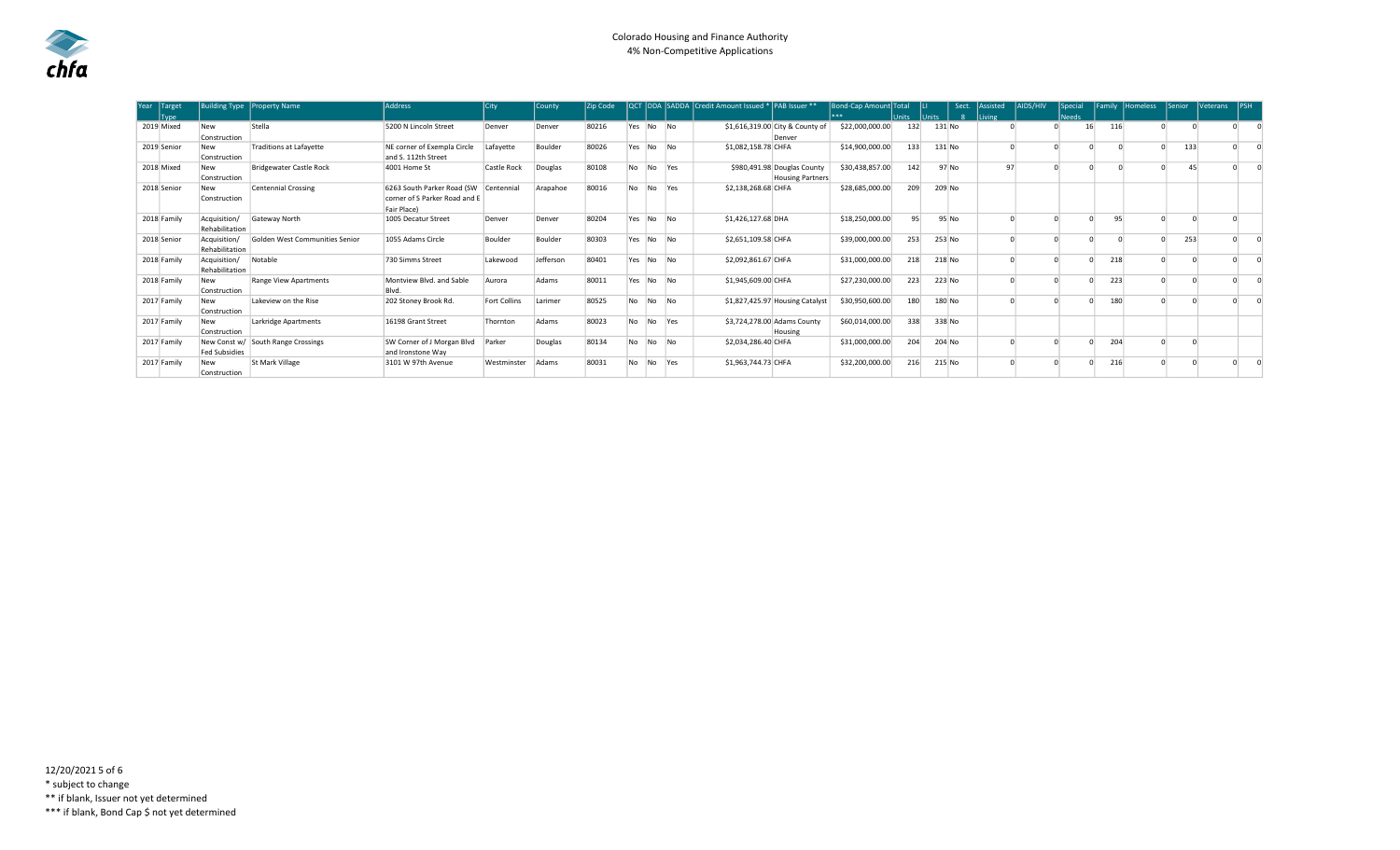| Year<br>Target | <b>Building Type</b> | <b>Property Name</b>           | <b>Address</b>                | City         | l Countv  | <b>Zip Code</b> | QCT       |     |                | DDA SADDA Credit Amount Issued *  PAB Issuer ** |                                 | Bond-Cap Amount Total |              |        | Sect.  | l Assisted | <b>AIDS/HIV</b> | Special      |     | Family Homeless | <b>Senior</b> | <b>IVeterans</b> | <b>IPSH</b> |
|----------------|----------------------|--------------------------------|-------------------------------|--------------|-----------|-----------------|-----------|-----|----------------|-------------------------------------------------|---------------------------------|-----------------------|--------------|--------|--------|------------|-----------------|--------------|-----|-----------------|---------------|------------------|-------------|
| <b>Tvpe</b>    |                      |                                |                               |              |           |                 |           |     |                |                                                 |                                 | ***                   | <b>Units</b> | Units  | -8     | Living     |                 | <b>Needs</b> |     |                 |               |                  |             |
| 2019 Mixed     | New                  | Stella                         | 5200 N Lincoln Street         | Denver       | Denver    | 80216           | Yes No No |     |                |                                                 | \$1,616,319.00 City & County of | \$22,000,000.00       | 132          | 131 No |        |            |                 | 16           | 116 |                 |               |                  |             |
|                | Construction         |                                |                               |              |           |                 |           |     |                |                                                 | Denver                          |                       |              |        |        |            |                 |              |     |                 |               |                  |             |
| 2019 Senior    | New                  | <b>Traditions at Lafayette</b> | NE corner of Exempla Circle   | Lafavette    | Boulder   | 80026           | Yes No    |     | N <sub>0</sub> | \$1,082,158.78 CHFA                             |                                 | \$14,900,000.00       | 133          | 131 No |        |            |                 |              |     |                 | 133           |                  |             |
|                | Construction         |                                | and S. 112th Street           |              |           |                 |           |     |                |                                                 |                                 |                       |              |        |        |            |                 |              |     |                 |               |                  |             |
| 2018 Mixed     | New                  | Bridgewater Castle Rock        | 4001 Home St                  | Castle Rock  | Douglas   | 80108           | <b>No</b> | No. | <b>Yes</b>     |                                                 | \$980,491.98 Douglas County     | \$30,438,857.00       | 142          |        | 97 No  | 97         |                 |              |     |                 | 45            |                  |             |
|                | Construction         |                                |                               |              |           |                 |           |     |                |                                                 | <b>Housing Partners</b>         |                       |              |        |        |            |                 |              |     |                 |               |                  |             |
| 2018 Senior    | New                  | <b>Centennial Crossing</b>     | 6263 South Parker Road (SW    | Centennial   | Arapahoe  | 80016           | <b>No</b> | No. | <b>Yes</b>     | \$2,138,268.68 CHFA                             |                                 | \$28,685,000.00       | 209          | 209 No |        |            |                 |              |     |                 |               |                  |             |
|                | Construction         |                                | corner of S Parker Road and E |              |           |                 |           |     |                |                                                 |                                 |                       |              |        |        |            |                 |              |     |                 |               |                  |             |
|                |                      |                                | Fair Place)                   |              |           |                 |           |     |                |                                                 |                                 |                       |              |        |        |            |                 |              |     |                 |               |                  |             |
| 2018 Family    | Acquisition/         | Gateway North                  | 1005 Decatur Street           | Denver       | Denver    | 80204           | Yes       | No. | <b>No</b>      | \$1,426,127.68 DHA                              |                                 | \$18,250,000.00       | 95           |        | 95 No  |            |                 |              | 95  |                 |               |                  |             |
|                | Rehabilitation       |                                |                               |              |           |                 |           |     |                |                                                 |                                 |                       |              |        |        |            |                 |              |     |                 |               |                  |             |
| 2018 Senior    | Acquisition/         | Golden West Communities Senior | 1055 Adams Circle             | Boulder      | Boulder   | 80303           | Yes       | No. | N <sub>0</sub> | \$2,651,109.58 CHFA                             |                                 | \$39,000,000.00       | 253          | 253 No |        |            |                 |              |     |                 | 253           |                  |             |
|                | Rehabilitation       |                                |                               |              |           |                 |           |     |                |                                                 |                                 |                       |              |        |        |            |                 |              |     |                 |               |                  |             |
| 2018 Family    | Acquisition/         | Notable                        | 730 Simms Street              | Lakewood     | Jefferson | 80401           | Yes       | No  | N <sub>0</sub> | \$2,092,861.67 CHFA                             |                                 | \$31,000,000.00       | 218          | 218 No |        |            |                 |              | 218 |                 |               |                  |             |
|                | Rehabilitation       |                                |                               |              |           |                 |           |     |                |                                                 |                                 |                       |              |        |        |            |                 |              |     |                 |               |                  |             |
| 2018 Family    | New                  | <b>Range View Apartments</b>   | Montview Blvd, and Sable      | Aurora       | Adams     | 80011           | Yes       | No. | N <sub>0</sub> | \$1,945,609.00 CHFA                             |                                 | \$27,230,000.00       | 223          | 223 No |        |            |                 |              | 223 |                 |               |                  |             |
|                | Construction         |                                | Blvd.                         |              |           |                 |           |     |                |                                                 |                                 |                       |              |        |        |            |                 |              |     |                 |               |                  |             |
| 2017 Family    | New                  | Lakeview on the Rise           | 202 Stoney Brook Rd.          | Fort Collins | Larimer   | 80525           | No        | No. | N <sub>o</sub> |                                                 | \$1,827,425.97 Housing Catalyst | \$30,950,600.00       | 180          | 180 No |        |            |                 |              | 180 |                 |               |                  |             |
|                | Construction         |                                |                               |              |           |                 |           |     |                |                                                 |                                 |                       |              |        |        |            |                 |              |     |                 |               |                  |             |
| 2017 Family    | <b>New</b>           | Larkridge Apartments           | 16198 Grant Street            | Thornton     | Adams     | 80023           | <b>No</b> | No. | Yes:           |                                                 | \$3,724,278.00 Adams County     | \$60,014,000.00       | 338          | 338 No |        |            |                 |              |     |                 |               |                  |             |
|                | Construction         |                                |                               |              |           |                 |           |     |                |                                                 | Housing                         |                       |              |        |        |            |                 |              |     |                 |               |                  |             |
| 2017 Family    | New Const w/         | South Range Crossings          | SW Corner of J Morgan Blvd    | Parker       | Douglas   | 80134           | <b>No</b> | No. | N <sub>0</sub> | \$2,034,286.40 CHFA                             |                                 | \$31,000,000.00       | 204          | 204 No |        |            |                 |              | 204 |                 |               |                  |             |
|                | <b>Fed Subsidies</b> |                                | and Ironstone Wav             |              |           |                 |           |     |                |                                                 |                                 |                       |              |        |        |            |                 |              |     |                 |               |                  |             |
| 2017 Family    | New                  | St Mark Village                | 3101 W 97th Avenue            | Westminster  | Adams     | 80031           | No        | No. | Yes            | \$1,963,744.73 CHFA                             |                                 | \$32,200,000.00       | 216          |        | 215 No |            |                 |              | 216 |                 |               |                  |             |
|                | Construction         |                                |                               |              |           |                 |           |     |                |                                                 |                                 |                       |              |        |        |            |                 |              |     |                 |               |                  |             |

12/20/2021 5 of 6 \* subject to change \*\* if blank, Issuer not yet determined \*\*\* if blank, Bond Cap \$ not yet determined